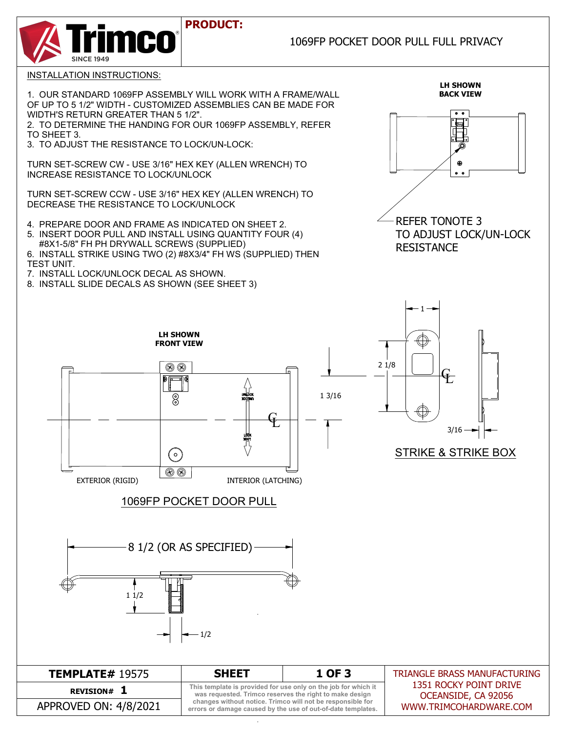## **PRODUCT:**

## 1069FP POCKET DOOR PULL FULL PRIVACY



INSTALLATION INSTRUCTIONS:

1. OUR STANDARD 1069FP ASSEMBLY WILL WORK WITH A FRAME/WALL OF UP TO 5 1/2" WIDTH - CUSTOMIZED ASSEMBLIES CAN BE MADE FOR WIDTH'S RETURN GREATER THAN 5 1/2".

2. TO DETERMINE THE HANDING FOR OUR 1069FP ASSEMBLY, REFER TO SHEET 3.

3. TO ADJUST THE RESISTANCE TO LOCK/UN-LOCK:

TURN SET-SCREW CW - USE 3/16" HEX KEY (ALLEN WRENCH) TO INCREASE RESISTANCE TO LOCK/UNLOCK

TURN SET-SCREW CCW - USE 3/16" HEX KEY (ALLEN WRENCH) TO DECREASE THE RESISTANCE TO LOCK/UNLOCK

4. PREPARE DOOR AND FRAME AS INDICATED ON SHEET 2.

5. INSERT DOOR PULL AND INSTALL USING QUANTITY FOUR (4) #8X1-5/8" FH PH DRYWALL SCREWS (SUPPLIED)

6. INSTALL STRIKE USING TWO (2) #8X3/4" FH WS (SUPPLIED) THEN TEST UNIT.

- 7. INSTALL LOCK/UNLOCK DECAL AS SHOWN.
- 8. INSTALL SLIDE DECALS AS SHOWN (SEE SHEET 3)



**LH SHOWN**



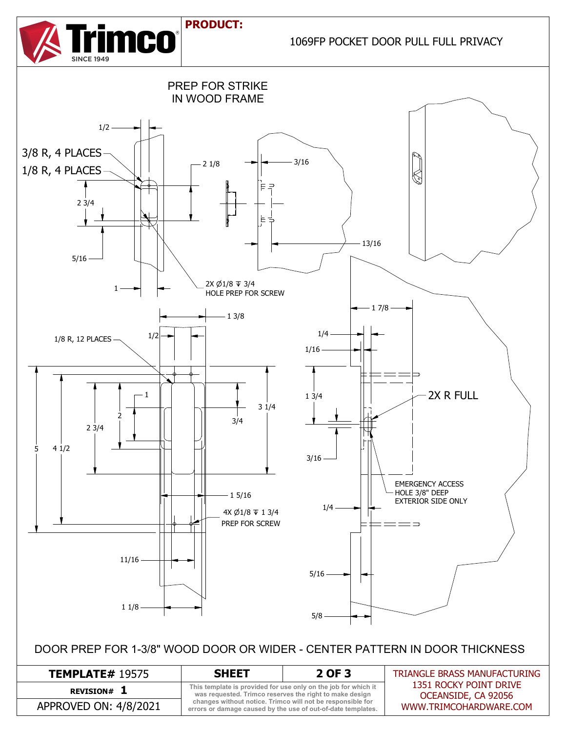## **PRODUCT:**



1069FP POCKET DOOR PULL FULL PRIVACY